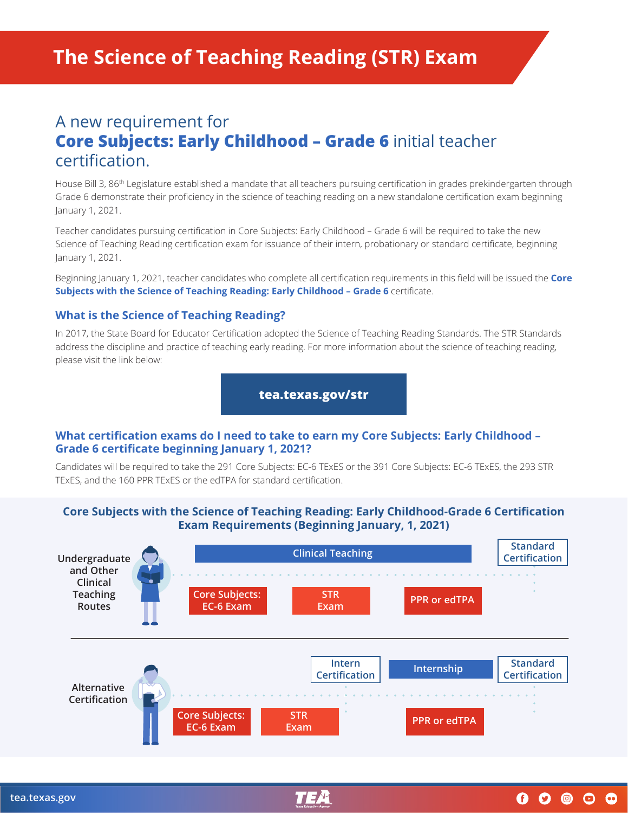# A new requirement for **Core Subjects: Early Childhood – Grade 6** initial teacher certification.

House Bill 3, 86th Legislature established a mandate that all teachers pursuing certification in grades prekindergarten through Grade 6 demonstrate their proficiency in the science of teaching reading on a new standalone certification exam beginning January 1, 2021.

Teacher candidates pursuing certification in Core Subjects: Early Childhood – Grade 6 will be required to take the new Science of Teaching Reading certification exam for issuance of their intern, probationary or standard certificate, beginning January 1, 2021.

Beginning January 1, 2021, teacher candidates who complete all certification requirements in this field will be issued the **Core Subjects with the Science of Teaching Reading: Early Childhood – Grade 6** certificate.

#### **What is the Science of Teaching Reading?**

In 2017, the State Board for Educator Certification adopted the Science of Teaching Reading Standards. The STR Standards address the discipline and practice of teaching early reading. For more information about the science of teaching reading, please visit the link below:

#### **[tea.texas.gov/str](http://tea.texas.gov/str)**

# **What certification exams do I need to take to earn my Core Subjects: Early Childhood – Grade 6 certificate beginning January 1, 2021?**

Candidates will be required to take the 291 Core Subjects: EC-6 TExES or the 391 Core Subjects: EC-6 TExES, the 293 STR TExES, and the 160 PPR TExES or the edTPA for standard certification.

# **Core Subjects with the Science of Teaching Reading: Early Childhood-Grade 6 Certification Exam Requirements (Beginning January, 1, 2021)**